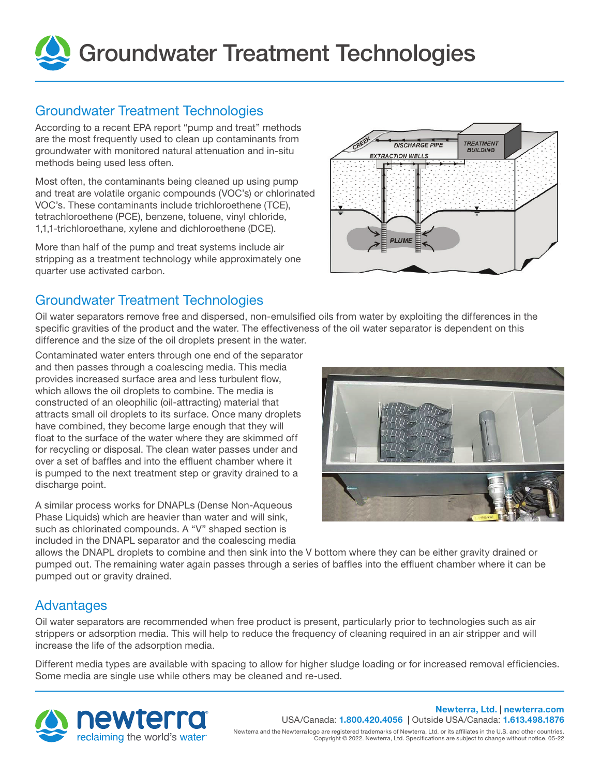

According to a recent EPA report "pump and treat" methods are the most frequently used to clean up contaminants from groundwater with monitored natural attenuation and in-situ methods being used less often.

Most often, the contaminants being cleaned up using pump and treat are volatile organic compounds (VOC's) or chlorinated VOC's. These contaminants include trichloroethene (TCE), tetrachloroethene (PCE), benzene, toluene, vinyl chloride, 1,1,1-trichloroethane, xylene and dichloroethene (DCE).

More than half of the pump and treat systems include air stripping as a treatment technology while approximately one quarter use activated carbon.



# Groundwater Treatment Technologies

Oil water separators remove free and dispersed, non-emulsified oils from water by exploiting the differences in the specific gravities of the product and the water. The effectiveness of the oil water separator is dependent on this difference and the size of the oil droplets present in the water.

Contaminated water enters through one end of the separator and then passes through a coalescing media. This media provides increased surface area and less turbulent flow, which allows the oil droplets to combine. The media is constructed of an oleophilic (oil-attracting) material that attracts small oil droplets to its surface. Once many droplets have combined, they become large enough that they will float to the surface of the water where they are skimmed off for recycling or disposal. The clean water passes under and over a set of baffles and into the effluent chamber where it is pumped to the next treatment step or gravity drained to a discharge point.

A similar process works for DNAPLs (Dense Non-Aqueous Phase Liquids) which are heavier than water and will sink, such as chlorinated compounds. A "V" shaped section is included in the DNAPL separator and the coalescing media



allows the DNAPL droplets to combine and then sink into the V bottom where they can be either gravity drained or pumped out. The remaining water again passes through a series of baffles into the effluent chamber where it can be pumped out or gravity drained.

## **Advantages**

Oil water separators are recommended when free product is present, particularly prior to technologies such as air strippers or adsorption media. This will help to reduce the frequency of cleaning required in an air stripper and will increase the life of the adsorption media.

Different media types are available with spacing to allow for higher sludge loading or for increased removal efficiencies. Some media are single use while others may be cleaned and re-used.

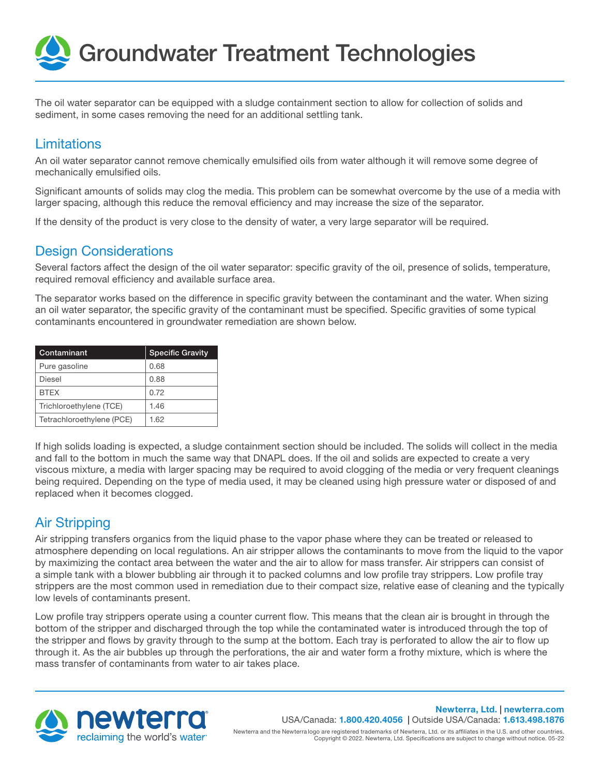The oil water separator can be equipped with a sludge containment section to allow for collection of solids and sediment, in some cases removing the need for an additional settling tank.

# Limitations

An oil water separator cannot remove chemically emulsified oils from water although it will remove some degree of mechanically emulsified oils.

Significant amounts of solids may clog the media. This problem can be somewhat overcome by the use of a media with larger spacing, although this reduce the removal efficiency and may increase the size of the separator.

If the density of the product is very close to the density of water, a very large separator will be required.

## Design Considerations

Several factors affect the design of the oil water separator: specific gravity of the oil, presence of solids, temperature, required removal efficiency and available surface area.

The separator works based on the difference in specific gravity between the contaminant and the water. When sizing an oil water separator, the specific gravity of the contaminant must be specified. Specific gravities of some typical contaminants encountered in groundwater remediation are shown below.

| Contaminant               | <b>Specific Gravity</b> |
|---------------------------|-------------------------|
| Pure gasoline             | 0.68                    |
| Diesel                    | 0.88                    |
| <b>BTFX</b>               | 0.72                    |
| Trichloroethylene (TCE)   | 1.46                    |
| Tetrachloroethylene (PCE) | 1.62                    |

If high solids loading is expected, a sludge containment section should be included. The solids will collect in the media and fall to the bottom in much the same way that DNAPL does. If the oil and solids are expected to create a very viscous mixture, a media with larger spacing may be required to avoid clogging of the media or very frequent cleanings being required. Depending on the type of media used, it may be cleaned using high pressure water or disposed of and replaced when it becomes clogged.

## Air Stripping

Air stripping transfers organics from the liquid phase to the vapor phase where they can be treated or released to atmosphere depending on local regulations. An air stripper allows the contaminants to move from the liquid to the vapor by maximizing the contact area between the water and the air to allow for mass transfer. Air strippers can consist of a simple tank with a blower bubbling air through it to packed columns and low profile tray strippers. Low profile tray strippers are the most common used in remediation due to their compact size, relative ease of cleaning and the typically low levels of contaminants present.

Low profile tray strippers operate using a counter current flow. This means that the clean air is brought in through the bottom of the stripper and discharged through the top while the contaminated water is introduced through the top of the stripper and flows by gravity through to the sump at the bottom. Each tray is perforated to allow the air to flow up through it. As the air bubbles up through the perforations, the air and water form a frothy mixture, which is where the mass transfer of contaminants from water to air takes place.

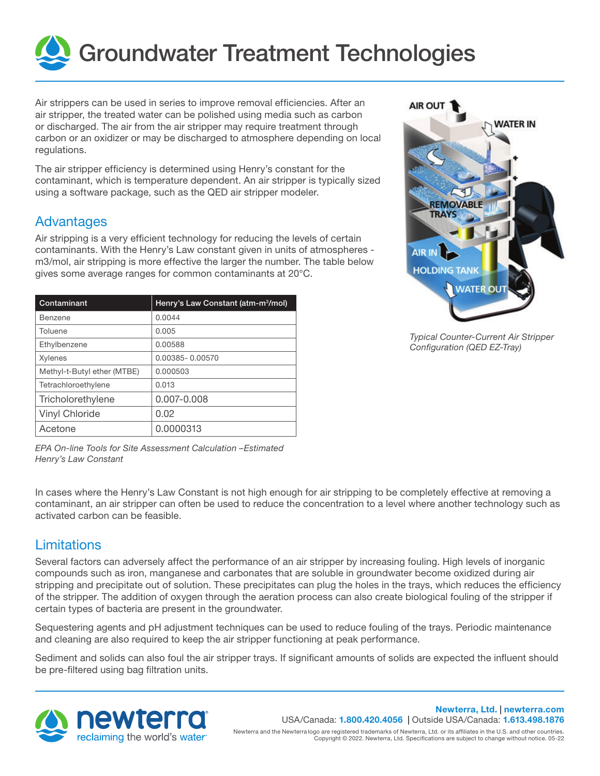

Air strippers can be used in series to improve removal efficiencies. After an air stripper, the treated water can be polished using media such as carbon or discharged. The air from the air stripper may require treatment through carbon or an oxidizer or may be discharged to atmosphere depending on local regulations.

The air stripper efficiency is determined using Henry's constant for the contaminant, which is temperature dependent. An air stripper is typically sized using a software package, such as the QED air stripper modeler.

## **Advantages**

Air stripping is a very efficient technology for reducing the levels of certain contaminants. With the Henry's Law constant given in units of atmospheres m3/mol, air stripping is more effective the larger the number. The table below gives some average ranges for common contaminants at 20°C.

| Contaminant                 | Henry's Law Constant (atm-m <sup>3</sup> /mol) |
|-----------------------------|------------------------------------------------|
| <b>Benzene</b>              | 0.0044                                         |
| Toluene                     | 0.005                                          |
| Ethylbenzene                | 0.00588                                        |
| Xylenes                     | 0.00385-0.00570                                |
| Methyl-t-Butyl ether (MTBE) | 0.000503                                       |
| Tetrachloroethylene         | 0.013                                          |
| Tricholorethylene           | $0.007 - 0.008$                                |
| <b>Vinyl Chloride</b>       | 0.02                                           |
| Acetone                     | 0.0000313                                      |

*EPA On-line Tools for Site Assessment Calculation –Estimated Henry's Law Constant*

In cases where the Henry's Law Constant is not high enough for air stripping to be completely effective at removing a contaminant, an air stripper can often be used to reduce the concentration to a level where another technology such as activated carbon can be feasible.

## **Limitations**

Several factors can adversely affect the performance of an air stripper by increasing fouling. High levels of inorganic compounds such as iron, manganese and carbonates that are soluble in groundwater become oxidized during air stripping and precipitate out of solution. These precipitates can plug the holes in the trays, which reduces the efficiency of the stripper. The addition of oxygen through the aeration process can also create biological fouling of the stripper if certain types of bacteria are present in the groundwater.

Sequestering agents and pH adjustment techniques can be used to reduce fouling of the trays. Periodic maintenance and cleaning are also required to keep the air stripper functioning at peak performance.

Sediment and solids can also foul the air stripper trays. If significant amounts of solids are expected the influent should be pre-filtered using bag filtration units.





*Typical Counter-Current Air Stripper Configuration (QED EZ-Tray)*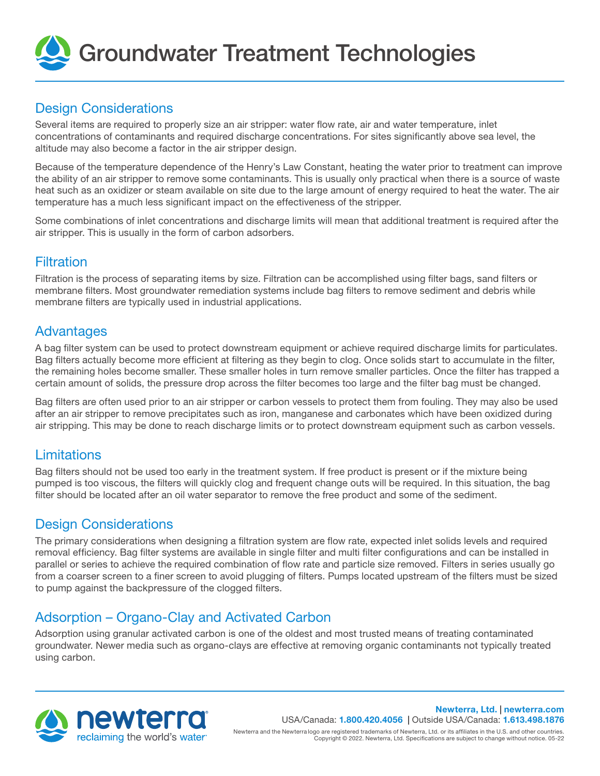

## Design Considerations

Several items are required to properly size an air stripper: water flow rate, air and water temperature, inlet concentrations of contaminants and required discharge concentrations. For sites significantly above sea level, the altitude may also become a factor in the air stripper design.

Because of the temperature dependence of the Henry's Law Constant, heating the water prior to treatment can improve the ability of an air stripper to remove some contaminants. This is usually only practical when there is a source of waste heat such as an oxidizer or steam available on site due to the large amount of energy required to heat the water. The air temperature has a much less significant impact on the effectiveness of the stripper.

Some combinations of inlet concentrations and discharge limits will mean that additional treatment is required after the air stripper. This is usually in the form of carbon adsorbers.

#### **Filtration**

Filtration is the process of separating items by size. Filtration can be accomplished using filter bags, sand filters or membrane filters. Most groundwater remediation systems include bag filters to remove sediment and debris while membrane filters are typically used in industrial applications.

#### **Advantages**

A bag filter system can be used to protect downstream equipment or achieve required discharge limits for particulates. Bag filters actually become more efficient at filtering as they begin to clog. Once solids start to accumulate in the filter, the remaining holes become smaller. These smaller holes in turn remove smaller particles. Once the filter has trapped a certain amount of solids, the pressure drop across the filter becomes too large and the filter bag must be changed.

Bag filters are often used prior to an air stripper or carbon vessels to protect them from fouling. They may also be used after an air stripper to remove precipitates such as iron, manganese and carbonates which have been oxidized during air stripping. This may be done to reach discharge limits or to protect downstream equipment such as carbon vessels.

## Limitations

Bag filters should not be used too early in the treatment system. If free product is present or if the mixture being pumped is too viscous, the filters will quickly clog and frequent change outs will be required. In this situation, the bag filter should be located after an oil water separator to remove the free product and some of the sediment.

#### Design Considerations

The primary considerations when designing a filtration system are flow rate, expected inlet solids levels and required removal efficiency. Bag filter systems are available in single filter and multi filter configurations and can be installed in parallel or series to achieve the required combination of flow rate and particle size removed. Filters in series usually go from a coarser screen to a finer screen to avoid plugging of filters. Pumps located upstream of the filters must be sized to pump against the backpressure of the clogged filters.

## Adsorption – Organo-Clay and Activated Carbon

Adsorption using granular activated carbon is one of the oldest and most trusted means of treating contaminated groundwater. Newer media such as organo-clays are effective at removing organic contaminants not typically treated using carbon.

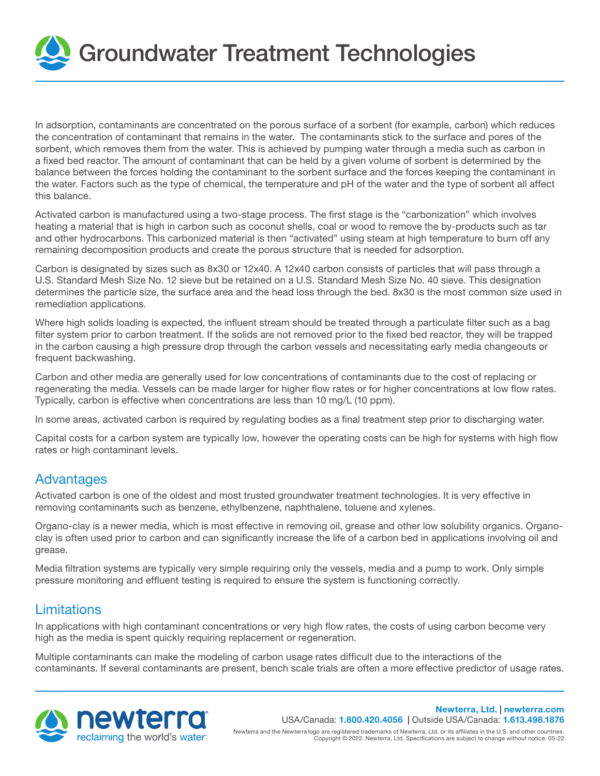In adsorption, contaminants are concentrated on the porous surface of a sorbent (for example, carbon) which reduces the concentration of contaminant that remains in the water. The contaminants stick to the surface and pores of the sorbent, which removes them from the water. This is achieved by pumping water through a media such as carbon in a fixed bed reactor. The amount of contaminant that can be held by a given volume of sorbent is determined by the balance between the forces holding the contaminant to the sorbent surface and the forces keeping the contaminant in the water. Factors such as the type of chemical, the temperature and pH of the water and the type of sorbent all affect this balance.

Activated carbon is manufactured using a two-stage process. The first stage is the "carbonization" which involves heating a material that is high in carbon such as coconut shells, coal or wood to remove the by-products such as tar and other hydrocarbons. This carbonized material is then "activated" using steam at high temperature to burn off any remaining decomposition products and create the porous structure that is needed for adsorption.

Carbon is designated by sizes such as 8x30 or 12x40. A 12x40 carbon consists of particles that will pass through a U.S. Standard Mesh Size No. 12 sieve but be retained on a U.S. Standard Mesh Size No. 40 sieve. This designation determines the particle size, the surface area and the head loss through the bed. 8x30 is the most common size used in remediation applications.

Where high solids loading is expected, the influent stream should be treated through a particulate filter such as a bag filter system prior to carbon treatment. If the solids are not removed prior to the fixed bed reactor, they will be trapped in the carbon causing a high pressure drop through the carbon vessels and necessitating early media changeouts or frequent backwashing.

Carbon and other media are generally used for low concentrations of contaminants due to the cost of replacing or regenerating the media. Vessels can be made larger for higher flow rates or for higher concentrations at low flow rates. Typically, carbon is effective when concentrations are less than 10 mg/L (10 ppm).

In some areas, activated carbon is required by regulating bodies as a final treatment step prior to discharging water.

Capital costs for a carbon system are typically low, however the operating costs can be high for systems with high flow rates or high contaminant levels.

## **Advantages**

Activated carbon is one of the oldest and most trusted groundwater treatment technologies. It is very effective in removing contaminants such as benzene, ethylbenzene, naphthalene, toluene and xylenes.

Organo-clay is a newer media, which is most effective in removing oil, grease and other low solubility organics. Organoclay is often used prior to carbon and can significantly increase the life of a carbon bed in applications involving oil and grease.

Media filtration systems are typically very simple requiring only the vessels, media and a pump to work. Only simple pressure monitoring and effluent testing is required to ensure the system is functioning correctly.

## **Limitations**

In applications with high contaminant concentrations or very high flow rates, the costs of using carbon become very high as the media is spent quickly requiring replacement or regeneration.

Multiple contaminants can make the modeling of carbon usage rates difficult due to the interactions of the contaminants. If several contaminants are present, bench scale trials are often a more effective predictor of usage rates.

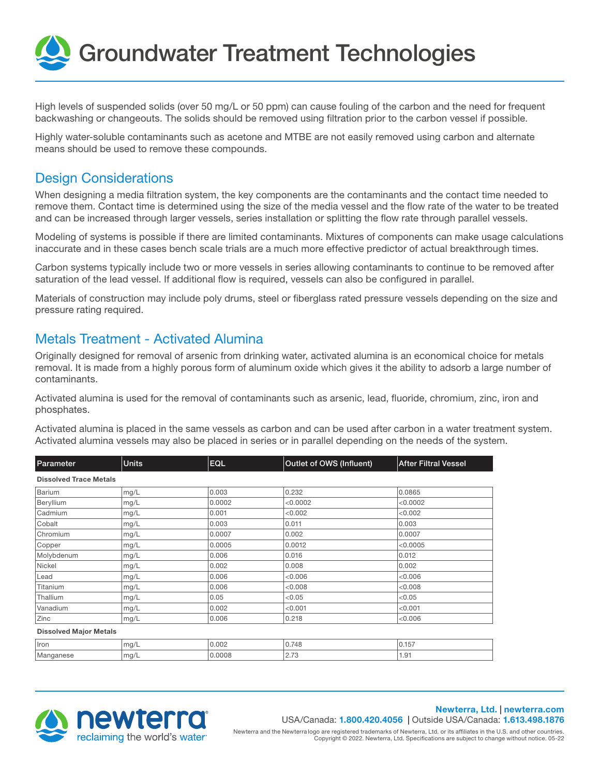High levels of suspended solids (over 50 mg/L or 50 ppm) can cause fouling of the carbon and the need for frequent backwashing or changeouts. The solids should be removed using filtration prior to the carbon vessel if possible.

Highly water-soluble contaminants such as acetone and MTBE are not easily removed using carbon and alternate means should be used to remove these compounds.

#### Design Considerations

When designing a media filtration system, the key components are the contaminants and the contact time needed to remove them. Contact time is determined using the size of the media vessel and the flow rate of the water to be treated and can be increased through larger vessels, series installation or splitting the flow rate through parallel vessels.

Modeling of systems is possible if there are limited contaminants. Mixtures of components can make usage calculations inaccurate and in these cases bench scale trials are a much more effective predictor of actual breakthrough times.

Carbon systems typically include two or more vessels in series allowing contaminants to continue to be removed after saturation of the lead vessel. If additional flow is required, vessels can also be configured in parallel.

Materials of construction may include poly drums, steel or fiberglass rated pressure vessels depending on the size and pressure rating required.

#### Metals Treatment - Activated Alumina

Originally designed for removal of arsenic from drinking water, activated alumina is an economical choice for metals removal. It is made from a highly porous form of aluminum oxide which gives it the ability to adsorb a large number of contaminants.

Activated alumina is used for the removal of contaminants such as arsenic, lead, fluoride, chromium, zinc, iron and phosphates.

Activated alumina is placed in the same vessels as carbon and can be used after carbon in a water treatment system. Activated alumina vessels may also be placed in series or in parallel depending on the needs of the system.

| Parameter                     | Units | <b>EQL</b> | Outlet of OWS (Influent) | <b>After Filtral Vessel</b> |
|-------------------------------|-------|------------|--------------------------|-----------------------------|
| <b>Dissolved Trace Metals</b> |       |            |                          |                             |
| Barium                        | mg/L  | 0.003      | 0.232                    | 0.0865                      |
| Beryllium                     | mg/L  | 0.0002     | < 0.0002                 | < 0.0002                    |
| Cadmium                       | mg/L  | 0.001      | < 0.002                  | < 0.002                     |
| Cobalt                        | mg/L  | 0.003      | 0.011                    | 0.003                       |
| Chromium                      | mg/L  | 0.0007     | 0.002                    | 0.0007                      |
| Copper                        | mg/L  | 0.0005     | 0.0012                   | < 0.0005                    |
| Molybdenum                    | mg/L  | 0.006      | 0.016                    | 0.012                       |
| Nickel                        | mg/L  | 0.002      | 0.008                    | 0.002                       |
| Lead                          | mg/L  | 0.006      | &0.006                   | &0.006                      |
| Titanium                      | mg/L  | 0.006      | < 0.008                  | < 0.008                     |
| Thallium                      | mg/L  | 0.05       | < 0.05                   | < 0.05                      |
| Vanadium                      | mg/L  | 0.002      | < 0.001                  | < 0.001                     |
| Zinc                          | mg/L  | 0.006      | 0.218                    | < 0.006                     |
| <b>Dissolved Major Metals</b> |       |            |                          |                             |
| Iron                          | mg/L  | 0.002      | 0.748                    | 0.157                       |
| Manganese                     | mg/L  | 0.0008     | 2.73                     | 1.91                        |



 Newterra, Ltd. | newterra.com USA/Canada: 1.800.420.4056 | Outside USA/Canada: 1.613.498.1876

Newterra and the Newterra logo are registered trademarks of Newterra, Ltd. or its affiliates in the U.S. and other countries. Copyright © 2022. Newterra, Ltd. Specifications are subject to change without notice. 05-22